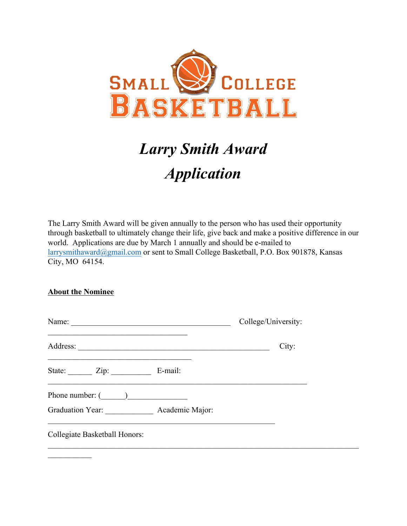

## *Larry Smith Award Application*

The Larry Smith Award will be given annually to the person who has used their opportunity through basketball to ultimately change their life, give back and make a positive difference in our world. Applications are due by March 1 annually and should be e-mailed to larrysmithaward@gmail.com or sent to Small College Basketball, P.O. Box 901878, Kansas City, MO 64154.

## **About the Nominee**

|                                                                                                  | College/University: |
|--------------------------------------------------------------------------------------------------|---------------------|
|                                                                                                  | City:               |
| State: Zip: E-mail:                                                                              |                     |
| Phone number: $\begin{pmatrix} 1 & 1 \\ 1 & 1 \end{pmatrix}$<br>Graduation Year: Academic Major: |                     |
| Collegiate Basketball Honors:                                                                    |                     |
|                                                                                                  |                     |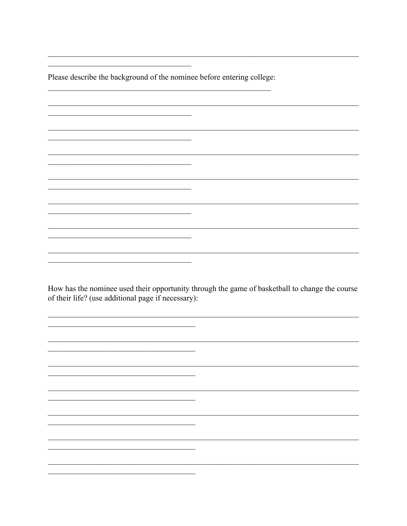Please describe the background of the nominee before entering college:

 $\overline{\phantom{a}}$ 

 $\overline{\phantom{a}}$ 

<u> 1989 - Johann Barn, mars and de Branch Barn, mars and de Branch Barn, mars and de Branch Barn, mars and de Br</u>

<u> 1990 - Johann Barbara, martin amerikan ba</u>

<u> 1989 - 1989 - 1989 - 1989 - 1989 - 1989 - 1989 - 1989 - 1989 - 1989 - 1989 - 1989 - 1989 - 1989 - 1989 - 198</u>

How has the nominee used their opportunity through the game of basketball to change the course of their life? (use additional page if necessary):

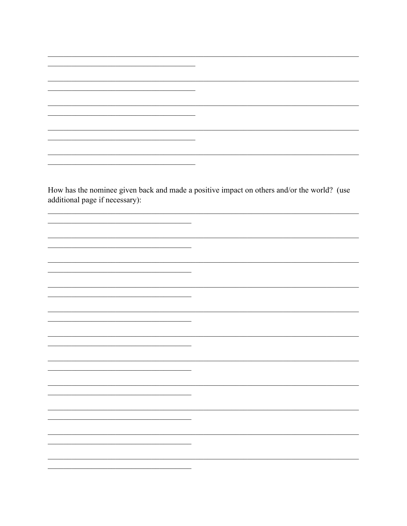<u> 1989 - Johann John Stein, mars an deus Frankrik (f. 1989)</u> How has the nominee given back and made a positive impact on others and/or the world? (use additional page if necessary):  $\overline{\phantom{0}}$ <u> 1989 - Johann Harry Barn, mars ar breist fan de Amerikaanske kommen.</u>  $\overline{\phantom{0}}$ <u> 1989 - Jan Sterlinger (</u>